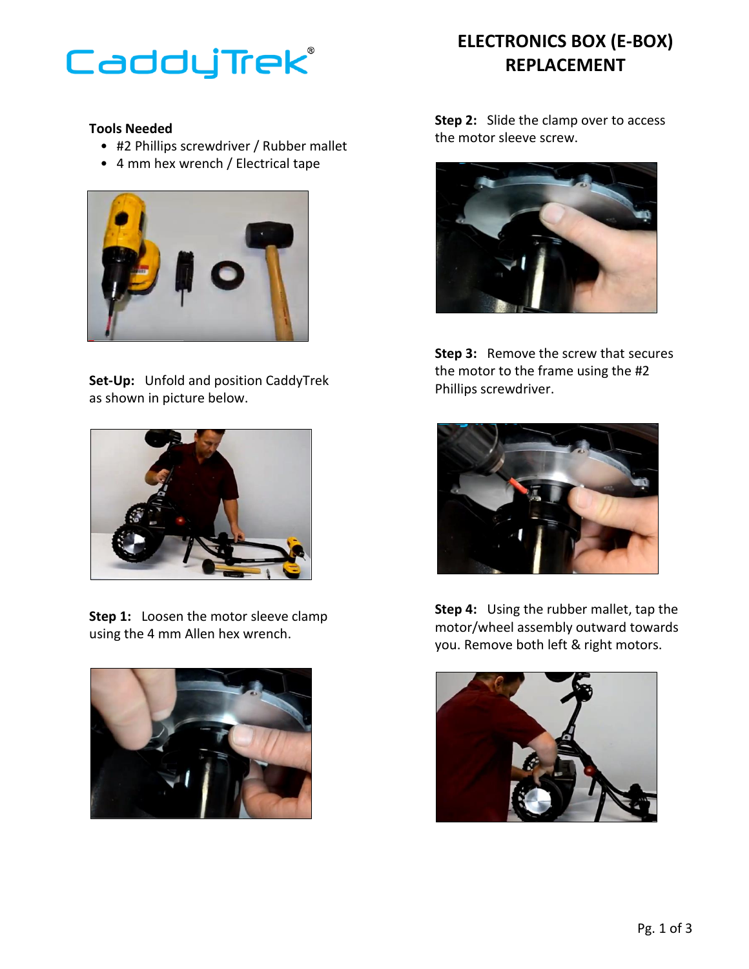

## **Tools Needed**

- #2 Phillips screwdriver / Rubber mallet
- 4 mm hex wrench / Electrical tape



**Set-Up:** Unfold and position CaddyTrek as shown in picture below.



**Step 1:** Loosen the motor sleeve clamp using the 4 mm Allen hex wrench.



## **ELECTRONICS BOX (E-BOX) REPLACEMENT**

**Step 2:** Slide the clamp over to access the motor sleeve screw.



**Step 3:** Remove the screw that secures the motor to the frame using the #2 Phillips screwdriver.



**Step 4:** Using the rubber mallet, tap the motor/wheel assembly outward towards you. Remove both left & right motors.

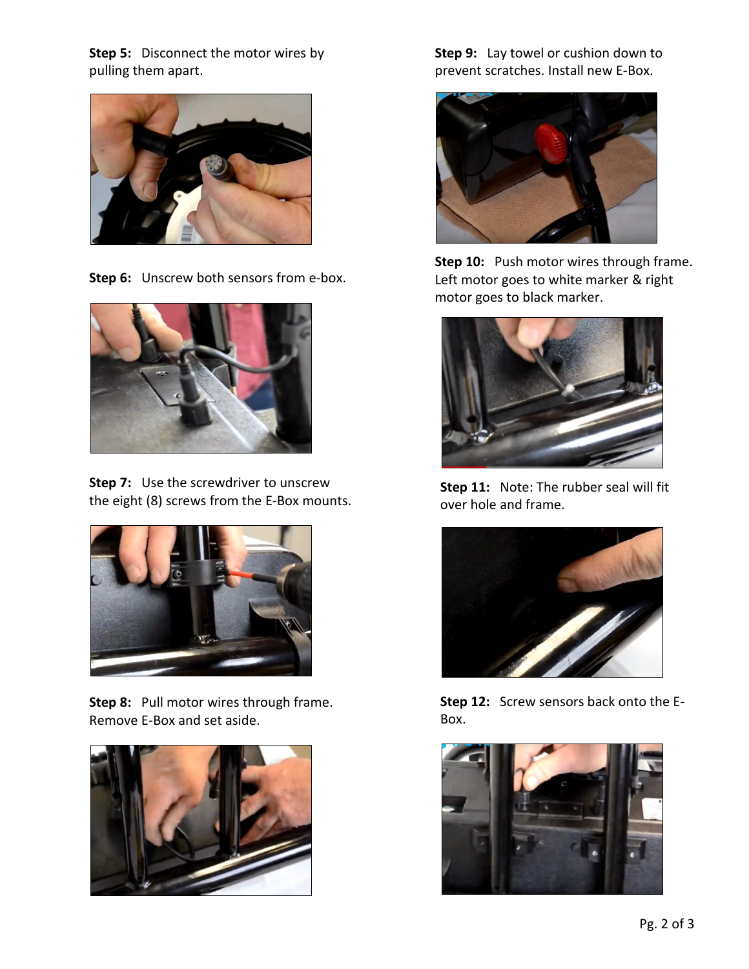**Step 5:** Disconnect the motor wires by pulling them apart.



**Step 6:** Unscrew both sensors from e-box.



**Step 7:** Use the screwdriver to unscrew the eight (8) screws from the E-Box mounts.



**Step 8:** Pull motor wires through frame. Remove E-Box and set aside.



**Step 9:** Lay towel or cushion down to prevent scratches. Install new E-Box.



**Step 10:** Push motor wires through frame. Left motor goes to white marker & right motor goes to black marker.



**Step 11:** Note: The rubber seal will fit over hole and frame.



**Step 12:** Screw sensors back onto the E-Box.